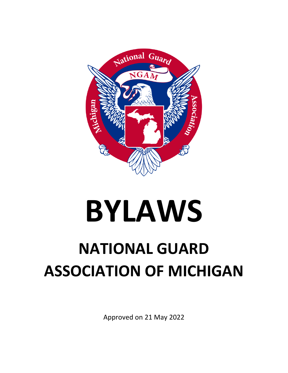

# **BYLAWS**

# **NATIONAL GUARD ASSOCIATION OF MICHIGAN**

Approved on 21 May 2022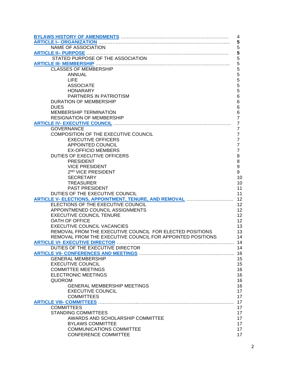| 4                                                          |                |  |  |  |
|------------------------------------------------------------|----------------|--|--|--|
| 5                                                          |                |  |  |  |
| NAME OF ASSOCIATION                                        | 5              |  |  |  |
|                                                            | 5              |  |  |  |
|                                                            | $\sqrt{5}$     |  |  |  |
|                                                            | 5              |  |  |  |
| <b>CLASSES OF MEMBERSHIP</b>                               | 5              |  |  |  |
| <b>ANNUAL</b>                                              | 5              |  |  |  |
| LIFE                                                       | 5              |  |  |  |
| <b>ASSOCIATE</b>                                           | 5              |  |  |  |
| <b>HONARARY</b>                                            | 5              |  |  |  |
|                                                            | 6              |  |  |  |
| PARTNERS IN PATRIOTISM<br><b>DURATION OF MEMBERSHIP</b>    |                |  |  |  |
|                                                            | 6              |  |  |  |
| <b>DUES</b>                                                | 6              |  |  |  |
| <b>MEMBERSHIP TERMINATION</b>                              | 6              |  |  |  |
| <b>RESIGNATION OF MEMBERSHIP</b>                           | $\overline{7}$ |  |  |  |
| ARTICLE IV- EXECUTIVE COUNCIL MARKET AND ARTICLE IV-       | $\overline{7}$ |  |  |  |
| <b>GOVERNANCE</b>                                          | $\overline{7}$ |  |  |  |
| COMPOSITION OF THE EXECUTIVE COUNCIL                       | $\overline{7}$ |  |  |  |
| <b>EXECUTIVE OFFICERS</b>                                  | $\overline{7}$ |  |  |  |
| APPOINTED COUNCIL                                          | $\overline{7}$ |  |  |  |
| <b>EX-OFFICIO MEMBERS</b>                                  | $\overline{7}$ |  |  |  |
| DUTIES OF EXECUTIVE OFFICERS                               | 8              |  |  |  |
| <b>PRESIDENT</b>                                           | 8              |  |  |  |
| <b>VICE PRESIDENT</b>                                      | 9              |  |  |  |
| 2 <sup>ND</sup> VICE PRESIDENT                             | 9              |  |  |  |
| <b>SECRETARY</b>                                           | 10             |  |  |  |
| <b>TREASURER</b>                                           | 10             |  |  |  |
| PAST PRESIDENT                                             | 11             |  |  |  |
| DUTIES OF THE EXECUTIVE COUNCIL                            | 11             |  |  |  |
| ARTICLE V- ELECTIONS, APPOINTMENT, TENURE, AND REMOVAL     | 12             |  |  |  |
| ELECTIONS OF THE EXECUTIVE COUNCIL                         | 12             |  |  |  |
| APPOINTMENED COUNCIL ASSIGNMENTS                           | 12             |  |  |  |
| <b>EXECUTIVE COUNCIL TENURE</b>                            | 12             |  |  |  |
| OATH OF OFFICE                                             | 12             |  |  |  |
| <b>EXECUTIVE COUNCIL VACANCIES</b>                         | 13             |  |  |  |
| REMOVAL FROM THE EXECUTIVE COUNCIL FOR ELECTED POSITIONS   | 13             |  |  |  |
| REMOVAL FROM THE EXECUTIVE COUNCIL FOR APPOINTED POSITIONS | 14             |  |  |  |
|                                                            | 14             |  |  |  |
| DUTIES OF THE EXECUTIVE DIRECTOR                           | 14             |  |  |  |
|                                                            | 16             |  |  |  |
| <b>GENERAL MEMBERSHIP</b>                                  | 15             |  |  |  |
| <b>EXECUTIVE COUNCIL</b>                                   | 15             |  |  |  |
| <b>COMMITTEE MEETINGS</b>                                  | 16             |  |  |  |
| <b>ELECTRONIC MEETINGS</b>                                 | 16             |  |  |  |
|                                                            |                |  |  |  |
| <b>QUOROM</b>                                              | 16             |  |  |  |
| <b>GENERAL MEMBERSHIP MEETINGS</b>                         | 16             |  |  |  |
| <b>EXECUTIVE COUNCIL</b>                                   | 17             |  |  |  |
| <b>COMMITTEES</b>                                          | 17             |  |  |  |
|                                                            | 17             |  |  |  |
| <b>COMMITTEES</b>                                          | 17             |  |  |  |
| <b>STANDING COMMITTEES</b>                                 | 17             |  |  |  |
| AWARDS AND SCHOLARSHIP COMMITTEE                           | 17             |  |  |  |
| <b>BYLAWS COMMITTEE</b>                                    | 17             |  |  |  |
| <b>COMMUNICATIONS COMMITTEE</b>                            | 17             |  |  |  |
| <b>CONFERENCE COMMITTEE</b>                                | 17             |  |  |  |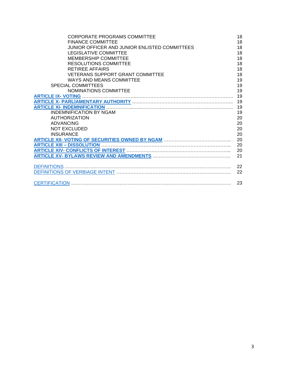| <b>CORPORATE PROGRAMS COMMITTEE</b>           | 18 |
|-----------------------------------------------|----|
| <b>FINANCE COMMITTEE</b>                      | 18 |
| JUNIOR OFFICER AND JUNIOR ENLISTED COMMITTEES | 18 |
| LEGISLATIVE COMMITTEE                         | 18 |
| <b>MEMBERSHIP COMMITTEE</b>                   | 18 |
| <b>RESOLUTIONS COMMITTEE</b>                  | 18 |
| <b>RETIREE AFFAIRS</b>                        | 18 |
| <b>VETERANS SUPPORT GRANT COMMITTEE</b>       | 18 |
| WAYS AND MEANS COMMITTEE                      | 19 |
| <b>SPECIAL COMMITTEES</b>                     | 19 |
| NOMINATIONS COMMITTEE                         | 19 |
|                                               | 19 |
|                                               | 19 |
|                                               | 19 |
| <b>INDEMNIFICATION BY NGAM</b>                | 19 |
| <b>AUTHORIZATION</b>                          | 20 |
| <b>ADVANCING</b>                              | 20 |
| NOT EXCLUDED                                  | 20 |
| <b>INSURANCE</b>                              | 20 |
|                                               | 20 |
| <b>ARTICLE XIII - DISSOLUTION</b>             | 20 |
|                                               | 20 |
|                                               | 21 |
|                                               | 22 |
|                                               | 22 |
|                                               |    |
|                                               | 23 |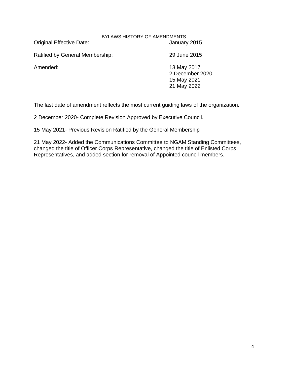#### BYLAWS HISTORY OF AMENDMENTS

<span id="page-3-1"></span><span id="page-3-0"></span>Original Effective Date: January 2015

Ratified by General Membership: 29 June 2015

Amended: 13 May 2017 2 December 2020 15 May 2021 21 May 2022

The last date of amendment reflects the most current guiding laws of the organization.

2 December 2020- Complete Revision Approved by Executive Council.

15 May 2021- Previous Revision Ratified by the General Membership

21 May 2022- Added the Communications Committee to NGAM Standing Committees, changed the title of Officer Corps Representative, changed the title of Enlisted Corps Representatives, and added section for removal of Appointed council members.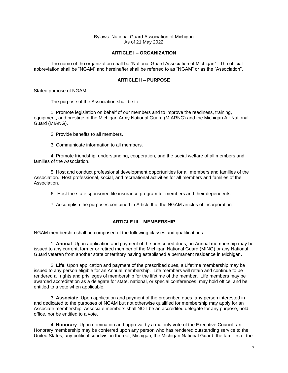Bylaws: National Guard Association of Michigan As of 21 May 2022

#### **ARTICLE I – ORGANIZATION**

<span id="page-4-3"></span><span id="page-4-0"></span>The name of the organization shall be "National Guard Association of Michigan". The official abbreviation shall be "NGAM" and hereinafter shall be referred to as "NGAM" or as the "Association".

#### **ARTICLE II – PURPOSE**

<span id="page-4-1"></span>Stated purpose of NGAM:

The purpose of the Association shall be to:

1. Promote legislation on behalf of our members and to improve the readiness, training, equipment, and prestige of the Michigan Army National Guard (MIARNG) and the Michigan Air National Guard (MIANG).

2. Provide benefits to all members.

3. Communicate information to all members.

4. Promote friendship, understanding, cooperation, and the social welfare of all members and families of the Association.

5. Host and conduct professional development opportunities for all members and families of the Association. Host professional, social, and recreational activities for all members and families of the Association.

6. Host the state sponsored life insurance program for members and their dependents.

7. Accomplish the purposes contained in Article II of the NGAM articles of incorporation.

#### **ARTICLE III – MEMBERSHIP**

<span id="page-4-2"></span>NGAM membership shall be composed of the following classes and qualifications:

1. **Annual**. Upon application and payment of the prescribed dues, an Annual membership may be issued to any current, former or retired member of the Michigan National Guard (MING) or any National Guard veteran from another state or territory having established a permanent residence in Michigan.

2. **Life**. Upon application and payment of the prescribed dues, a Lifetime membership may be issued to any person eligible for an Annual membership. Life members will retain and continue to be rendered all rights and privileges of membership for the lifetime of the member. Life members may be awarded accreditation as a delegate for state, national, or special conferences, may hold office, and be entitled to a vote when applicable.

3. **Associate**. Upon application and payment of the prescribed dues, any person interested in and dedicated to the purposes of NGAM but not otherwise qualified for membership may apply for an Associate membership. Associate members shall NOT be an accredited delegate for any purpose, hold office, nor be entitled to a vote.

4. **Honorary**. Upon nomination and approval by a majority vote of the Executive Council, an Honorary membership may be conferred upon any person who has rendered outstanding service to the United States, any political subdivision thereof, Michigan, the Michigan National Guard, the families of the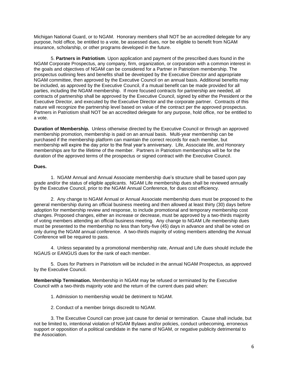Michigan National Guard, or to NGAM. Honorary members shall NOT be an accredited delegate for any purpose, hold office, be entitled to a vote, be assessed dues, nor be eligible to benefit from NGAM insurance, scholarship, or other programs developed in the future.

5. **Partners in Patriotism**. Upon application and payment of the prescribed dues found in the NGAM Corporate Prospectus, any company, firm, organization, or corporation with a common interest in the goals and objectives of NGAM can be considered for a Partner in Patriotism membership. The prospectus outlining fees and benefits shall be developed by the Executive Director and appropriate NGAM committee, then approved by the Executive Council on an annual basis. Additional benefits may be included, as approved by the Executive Council, if a mutual benefit can be made provided for all parties, including the NGAM membership. If more focused contracts for partnership are needed, all contracts of partnership shall be approved by the Executive Council, signed by either the President or the Executive Director, and executed by the Executive Director and the corporate partner. Contracts of this nature will recognize the partnership level based on value of the contract per the approved prospectus. Partners in Patriotism shall NOT be an accredited delegate for any purpose, hold office, nor be entitled to a vote.

**Duration of Membership.** Unless otherwise directed by the Executive Council or through an approved membership promotion, membership is paid on an annual basis. Multi-year membership can be purchased if the membership platform can maintain the correct records for each member, but membership will expire the day prior to the final year's anniversary. Life, Associate life, and Honorary memberships are for the lifetime of the member. Partners in Patriotism memberships will be for the duration of the approved terms of the prospectus or signed contract with the Executive Council.

#### **Dues.**

1. NGAM Annual and Annual Associate membership due's structure shall be based upon pay grade and/or the status of eligible applicants. NGAM Life membership dues shall be reviewed annually by the Executive Council, prior to the NGAM Annual Conference, for dues cost efficiency.

2. Any change to NGAM Annual or Annual Associate membership dues must be proposed to the general membership during an official business meeting and then allowed at least thirty (30) days before adoption for membership review and response, to include promotional and temporary membership cost changes. Proposed changes, either an increase or decrease, must be approved by a two-thirds majority of voting members attending an official business meeting. Any change to NGAM Life membership dues must be presented to the membership no less than forty-five (45) days in advance and shall be voted on only during the NGAM annual conference. A two-thirds majority of voting members attending the Annual Conference will be required to pass.

4. Unless separated by a promotional membership rate, Annual and Life dues should include the NGAUS or EANGUS dues for the rank of each member.

5. Dues for Partners in Patriotism will be included in the annual NGAM Prospectus, as approved by the Executive Council.

**Membership Termination.** Membership in NGAM may be refused or terminated by the Executive Council with a two-thirds majority vote and the return of the current dues paid when:

- 1. Admission to membership would be detriment to NGAM.
- 2. Conduct of a member brings discredit to NGAM.

3. The Executive Council can prove just cause for denial or termination. Cause shall include, but not be limited to, intentional violation of NGAM Bylaws and/or policies, conduct unbecoming, erroneous support or opposition of a political candidate in the name of NGAM, or negative publicity detrimental to the Association.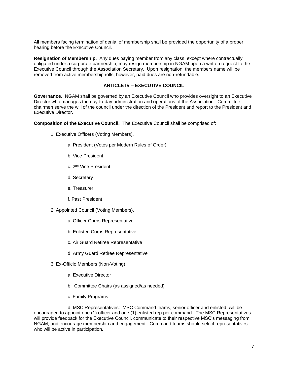<span id="page-6-1"></span>All members facing termination of denial of membership shall be provided the opportunity of a proper hearing before the Executive Council.

**Resignation of Membership.** Any dues paying member from any class, except where contractually obligated under a corporate partnership, may resign membership in NGAM upon a written request to the Executive Council through the Association Secretary. Upon resignation, the members name will be removed from active membership rolls, however, paid dues are non-refundable.

#### **ARTICLE IV – EXECUTIVE COUNCIL**

<span id="page-6-0"></span>**Governance.** NGAM shall be governed by an Executive Council who provides oversight to an Executive Director who manages the day-to-day administration and operations of the Association. Committee chairmen serve the will of the council under the direction of the President and report to the President and Executive Director.

**Composition of the Executive Council.** The Executive Council shall be comprised of:

- 1. Executive Officers (Voting Members).
	- a. President (Votes per Modern Rules of Order)
	- b. Vice President
	- c. 2nd Vice President
	- d. Secretary
	- e. Treasurer
	- f. Past President
- 2. Appointed Council (Voting Members).
	- a. Officer Corps Representative
	- b. Enlisted Corps Representative
	- c. Air Guard Retiree Representative
	- d. Army Guard Retiree Representative
- 3. Ex-Officio Members (Non-Voting)
	- a. Executive Director
	- b. Committee Chairs (as assigned/as needed)
	- c. Family Programs

d. MSC Representatives: MSC Command teams, senior officer and enlisted, will be encouraged to appoint one (1) officer and one (1) enlisted rep per command. The MSC Representatives will provide feedback for the Executive Council, communicate to their respective MSC's messaging from NGAM, and encourage membership and engagement. Command teams should select representatives who will be active in participation.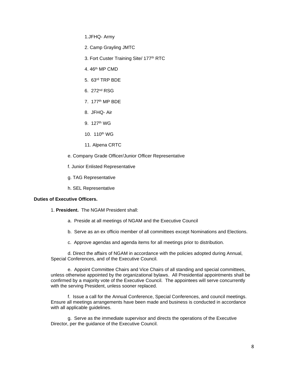1.JFHQ- Army

- 2. Camp Grayling JMTC
- 3. Fort Custer Training Site/ 177<sup>th</sup> RTC
- 4. 46th MP CMD
- 5. 63rd TRP BDE
- 6. 272nd RSG
- 7. 177th MP BDE
- 8. JFHQ- Air
- 9. 127th WG
- 10. 110th WG
- 11. Alpena CRTC
- e. Company Grade Officer/Junior Officer Representative
- f. Junior Enlisted Representative
- g. TAG Representative
- h. SEL Representative

#### **Duties of Executive Officers.**

- 1. **President.** The NGAM President shall:
	- a. Preside at all meetings of NGAM and the Executive Council
	- b. Serve as an ex officio member of all committees except Nominations and Elections.
	- c. Approve agendas and agenda items for all meetings prior to distribution.

d. Direct the affairs of NGAM in accordance with the policies adopted during Annual, Special Conferences, and of the Executive Council.

e. Appoint Committee Chairs and Vice Chairs of all standing and special committees, unless otherwise appointed by the organizational bylaws. All Presidential appointments shall be confirmed by a majority vote of the Executive Council. The appointees will serve concurrently with the serving President, unless sooner replaced.

f. Issue a call for the Annual Conference, Special Conferences, and council meetings. Ensure all meetings arrangements have been made and business is conducted in accordance with all applicable guidelines.

g. Serve as the immediate supervisor and directs the operations of the Executive Director, per the guidance of the Executive Council.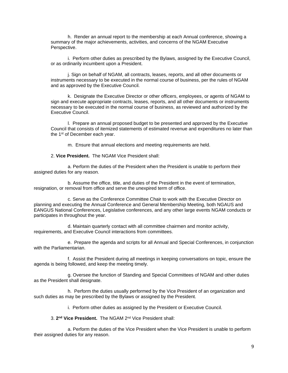h. Render an annual report to the membership at each Annual conference, showing a summary of the major achievements, activities, and concerns of the NGAM Executive Perspective.

i. Perform other duties as prescribed by the Bylaws, assigned by the Executive Council, or as ordinarily incumbent upon a President.

j. Sign on behalf of NGAM, all contracts, leases, reports, and all other documents or instruments necessary to be executed in the normal course of business, per the rules of NGAM and as approved by the Executive Council.

k. Designate the Executive Director or other officers, employees, or agents of NGAM to sign and execute appropriate contracts, leases, reports, and all other documents or instruments necessary to be executed in the normal course of business, as reviewed and authorized by the Executive Council.

l. Prepare an annual proposed budget to be presented and approved by the Executive Council that consists of itemized statements of estimated revenue and expenditures no later than the 1<sup>st</sup> of December each year.

m. Ensure that annual elections and meeting requirements are held.

2. **Vice President.** The NGAM Vice President shall:

a. Perform the duties of the President when the President is unable to perform their assigned duties for any reason.

b. Assume the office, title, and duties of the President in the event of termination, resignation, or removal from office and serve the unexpired term of office.

c. Serve as the Conference Committee Chair to work with the Executive Director on planning and executing the Annual Conference and General Membership Meeting, both NGAUS and EANGUS National Conferences, Legislative conferences, and any other large events NGAM conducts or participates in throughout the year.

d. Maintain quarterly contact with all committee chairmen and monitor activity, requirements, and Executive Council interactions from committees.

e. Prepare the agenda and scripts for all Annual and Special Conferences, in conjunction with the Parliamentarian

f. Assist the President during all meetings in keeping conversations on topic, ensure the agenda is being followed, and keep the meeting timely.

g. Oversee the function of Standing and Special Committees of NGAM and other duties as the President shall designate.

h. Perform the duties usually performed by the Vice President of an organization and such duties as may be prescribed by the Bylaws or assigned by the President.

i. Perform other duties as assigned by the President or Executive Council.

3. **2 nd Vice President.** The NGAM 2nd Vice President shall:

a. Perform the duties of the Vice President when the Vice President is unable to perform their assigned duties for any reason.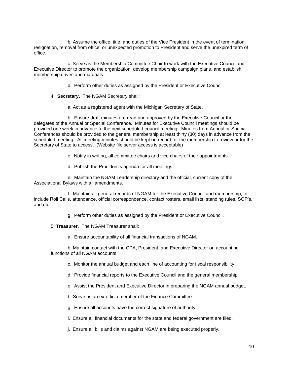b. Assume the office, title, and duties of the Vice President in the event of termination, resignation, removal from office, or unexpected promotion to President and serve the unexpired term of office.

c. Serve as the Membership Committee Chair to work with the Executive Council and Executive Director to promote the organization, develop membership campaign plans, and establish membership drives and materials.

- d. Perform other duties as assigned by the President or Executive Council.
- 4. **Secretary.** The NGAM Secretary shall:
	- a. Act as a registered agent with the Michigan Secretary of State.

b. Ensure draft minutes are read and approved by the Executive Council or the delegates of the Annual or Special Conference. Minutes for Executive Council meetings should be provided one week in advance to the next scheduled council meeting. Minutes from Annual or Special Conferences should be provided to the general membership at least thirty (30) days in advance from the scheduled meeting. All meeting minutes should be kept on record for the membership to review or for the Secretary of State to access. (Website file server access is acceptable)

c. Notify in writing, all committee chairs and vice chairs of their appointments.

d. Publish the President's agenda for all meetings.

e. Maintain the NGAM Leadership directory and the official, current copy of the Associational Bylaws with all amendments.

f. Maintain all general records of NGAM for the Executive Council and membership, to include Roll Calls, attendance, official correspondence, contact rosters, email lists, standing rules, SOP's, and etc.

g. Perform other duties as assigned by the President or Executive Council.

5. **Treasurer.** The NGAM Treasurer shall:

a. Ensure accountability of all financial transactions of NGAM.

b. Maintain contact with the CPA, President, and Executive Director on accounting functions of all NGAM accounts.

c. Monitor the annual budget and each line of accounting for fiscal responsibility.

d. Provide financial reports to the Executive Council and the general membership.

e. Assist the President and Executive Director in preparing the NGAM annual budget.

f. Serve as an ex-officio member of the Finance Committee.

g. Ensure all accounts have the correct signature of authority.

i. Ensure all financial documents for the state and federal government are filed.

j. Ensure all bills and claims against NGAM are being executed properly.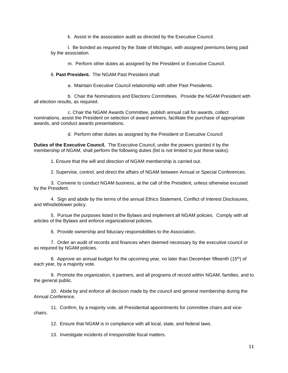k. Assist in the association audit as directed by the Executive Council.

l. Be bonded as required by the State of Michigan, with assigned premiums being paid by the association.

m. Perform other duties as assigned by the President or Executive Council.

6. **Past President.** The NGAM Past President shall:

a. Maintain Executive Council relationship with other Past Presidents.

b. Chair the Nominations and Elections Committees. Provide the NGAM President with all election results, as required.

c. Chair the NGAM Awards Committee, publish annual call for awards, collect nominations, assist the President on selection of award winners, facilitate the purchase of appropriate awards, and conduct awards presentations.

d. Perform other duties as assigned by the President or Executive Council

**Duties of the Executive Council.** The Executive Council, under the powers granted it by the membership of NGAM, shall perform the following duties (list is not limited to just these tasks):

1. Ensure that the will and direction of NGAM membership is carried out.

2. Supervise, control, and direct the affairs of NGAM between Annual or Special Conferences.

3. Convene to conduct NGAM business, at the call of the President, unless otherwise excused by the President.

4. Sign and abide by the terms of the annual Ethics Statement, Conflict of Interest Disclosures, and Whistleblower policy.

5. Pursue the purposes listed in the Bylaws and implement all NGAM policies. Comply with all articles of the Bylaws and enforce organizational policies.

6. Provide ownership and fiduciary responsibilities to the Association.

7. Order an audit of records and finances when deemed necessary by the executive council or as required by NGAM policies.

8. Approve an annual budget for the upcoming year, no later than December fifteenth  $(15<sup>th</sup>)$  of each year, by a majority vote.

9. Promote the organization, it partners, and all programs of record within NGAM, families, and to the general public.

10. Abide by and enforce all decision made by the council and general membership during the Annual Conference.

11. Confirm, by a majority vote, all Presidential appointments for committee chairs and vicechairs.

12. Ensure that NGAM is in compliance with all local, state, and federal laws.

13. Investigate incidents of irresponsible fiscal matters.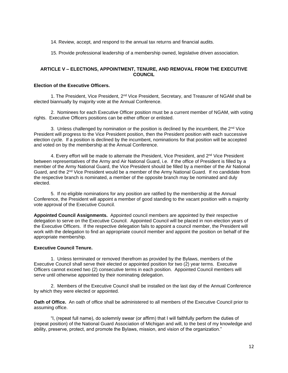<span id="page-11-1"></span>14. Review, accept, and respond to the annual tax returns and financial audits.

15. Provide professional leadership of a membership owned, legislative driven association.

#### <span id="page-11-0"></span>**ARTICLE V – ELECTIONS, APPOINTMENT, TENURE, AND REMOVAL FROM THE EXECUTIVE COUNCIL**

#### **Election of the Executive Officers.**

1. The President, Vice President, 2<sup>nd</sup> Vice President, Secretary, and Treasurer of NGAM shall be elected biannually by majority vote at the Annual Conference.

2. Nominees for each Executive Officer position must be a current member of NGAM, with voting rights. Executive Officers positions can be either officer or enlisted.

3. Unless challenged by nomination or the position is declined by the incumbent, the  $2<sup>nd</sup>$  Vice President will progress to the Vice President position, then the President position with each successive election cycle. If a position is declined by the incumbent, nominations for that position will be accepted and voted on by the membership at the Annual Conference.

4. Every effort will be made to alternate the President, Vice President, and 2<sup>nd</sup> Vice President between representatives of the Army and Air National Guard, i.e. if the office of President is filled by a member of the Army National Guard, the Vice President should be filled by a member of the Air National Guard, and the  $2^{nd}$  Vice President would be a member of the Army National Guard. If no candidate from the respective branch is nominated, a member of the opposite branch may be nominated and duly elected.

5. If no eligible nominations for any position are ratified by the membership at the Annual Conference, the President will appoint a member of good standing to the vacant position with a majority vote approval of the Executive Council.

**Appointed Council Assignments.** Appointed council members are appointed by their respective delegation to serve on the Executive Council. Appointed Council will be placed in non-election years of the Executive Officers. If the respective delegation fails to appoint a council member, the President will work with the delegation to find an appropriate council member and appoint the position on behalf of the appropriate membership.

#### **Executive Council Tenure.**

1. Unless terminated or removed therefrom as provided by the Bylaws, members of the Executive Council shall serve their elected or appointed position for two (2) year terms. Executive Officers cannot exceed two (2) consecutive terms in each position. Appointed Council members will serve until otherwise appointed by their nominating delegation.

2. Members of the Executive Council shall be installed on the last day of the Annual Conference by which they were elected or appointed.

**Oath of Office.** An oath of office shall be administered to all members of the Executive Council prior to assuming office.

"I, (repeat full name), do solemnly swear (or affirm) that I will faithfully perform the duties of (repeat position) of the National Guard Association of Michigan and will, to the best of my knowledge and ability, preserve, protect, and promote the Bylaws, mission, and vision of the organization."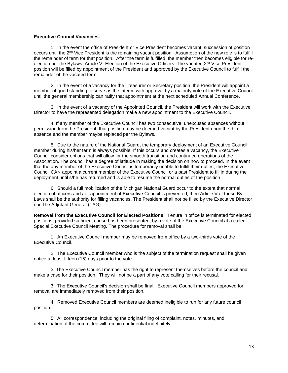#### **Executive Council Vacancies.**

1. In the event the office of President or Vice President becomes vacant, succession of position occurs until the 2nd Vice President is the remaining vacant position. Assumption of the new role is to fulfill the remainder of term for that position. After the term is fulfilled, the member then becomes eligible for reelection per the Bylaws, Article V- Election of the Executive Officers. The vacated 2<sup>nd</sup> Vice President position will be filled by appointment of the President and approved by the Executive Council to fulfill the remainder of the vacated term.

2. In the event of a vacancy for the Treasurer or Secretary position, the President will appoint a member of good standing to serve as the interim with approval by a majority vote of the Executive Council until the general membership can ratify that appointment at the next scheduled Annual Conference.

3. In the event of a vacancy of the Appointed Council, the President will work with the Executive Director to have the represented delegation make a new appointment to the Executive Council.

4. If any member of the Executive Council has two consecutive, unexcused absences without permission from the President, that position may be deemed vacant by the President upon the third absence and the member maybe replaced per the Bylaws.

5. Due to the nature of the National Guard, the temporary deployment of an Executive Council member during his/her term is always possible. If this occurs and creates a vacancy, the Executive Council consider options that will allow for the smooth transition and continued operations of the Association. The council has a degree of latitude in making the decision on how to proceed. In the event that the any member of the Executive Council is temporarily unable to fulfill their duties, the Executive Council CAN appoint a current member of the Executive Council or a past President to fill in during the deployment until s/he has returned and is able to resume the normal duties of the position.

6. Should a full mobilization of the Michigan National Guard occur to the extent that normal election of officers and / or appointment of Executive Council is prevented, then Article V of these By-Laws shall be the authority for filling vacancies. The President shall not be filled by the Executive Director nor The Adjutant General (TAG).

**Removal from the Executive Council for Elected Positions.** Tenure in office is terminated for elected positions, provided sufficient cause has been presented, by a vote of the Executive Council at a called Special Executive Council Meeting. The procedure for removal shall be:

1. An Executive Council member may be removed from office by a two-thirds vote of the Executive Council.

2. The Executive Council member who is the subject of the termination request shall be given notice at least fifteen (15) days prior to the vote.

3. The Executive Council member has the right to represent themselves before the council and make a case for their position. They will not be a part of any vote calling for their recusal.

3. The Executive Council's decision shall be final. Executive Council members approved for removal are immediately removed from their position.

4. Removed Executive Council members are deemed ineligible to run for any future council position.

5. All correspondence, including the original filing of complaint, notes, minutes, and determination of the committee will remain confidential indefinitely.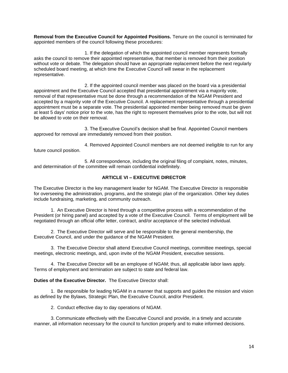<span id="page-13-1"></span>**Removal from the Executive Council for Appointed Positions.** Tenure on the council is terminated for appointed members of the council following these procedures:

1. If the delegation of which the appointed council member represents formally asks the council to remove their appointed representative, that member is removed from their position without vote or debate. The delegation should have an appropriate replacement before the next regularly scheduled board meeting, at which time the Executive Council will swear in the replacement representative.

2. If the appointed council member was placed on the board via a presidential appointment and the Executive Council accepted that presidential appointment via a majority vote, removal of that representative must be done through a recommendation of the NGAM President and accepted by a majority vote of the Executive Council. A replacement representative through a presidential appointment must be a separate vote. The presidential appointed member being removed must be given at least 5 days' notice prior to the vote, has the right to represent themselves prior to the vote, but will not be allowed to vote on their removal.

3. The Executive Council's decision shall be final. Appointed Council members approved for removal are immediately removed from their position.

4. Removed Appointed Council members are not deemed ineligible to run for any future council position.

5. All correspondence, including the original filing of complaint, notes, minutes, and determination of the committee will remain confidential indefinitely.

#### **ARTICLE VI – EXECUTIVE DIRECTOR**

<span id="page-13-0"></span>The Executive Director is the key management leader for NGAM. The Executive Director is responsible for overseeing the administration, programs, and the strategic plan of the organization. Other key duties include fundraising, marketing, and community outreach.

1. An Executive Director is hired through a competitive process with a recommendation of the President (or hiring panel) and accepted by a vote of the Executive Council. Terms of employment will be negotiated through an official offer letter, contract, and/or acceptance of the selected individual.

2. The Executive Director will serve and be responsible to the general membership, the Executive Council, and under the guidance of the NGAM President.

3. The Executive Director shall attend Executive Council meetings, committee meetings, special meetings, electronic meetings, and, upon invite of the NGAM President, executive sessions.

4. The Executive Director will be an employee of NGAM; thus, all applicable labor laws apply. Terms of employment and termination are subject to state and federal law.

#### **Duties of the Executive Director.** The Executive Director shall:

1. Be responsible for leading NGAM in a manner that supports and guides the mission and vision as defined by the Bylaws, Strategic Plan, the Executive Council, and/or President.

2. Conduct effective day to day operations of NGAM.

3. Communicate effectively with the Executive Council and provide, in a timely and accurate manner, all information necessary for the council to function properly and to make informed decisions.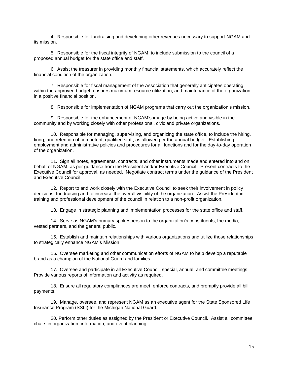4. Responsible for fundraising and developing other revenues necessary to support NGAM and its mission.

5. Responsible for the fiscal integrity of NGAM, to include submission to the council of a proposed annual budget for the state office and staff.

6. Assist the treasurer in providing monthly financial statements, which accurately reflect the financial condition of the organization.

7. Responsible for fiscal management of the Association that generally anticipates operating within the approved budget, ensures maximum resource utilization, and maintenance of the organization in a positive financial position.

8. Responsible for implementation of NGAM programs that carry out the organization's mission.

9. Responsible for the enhancement of NGAM's image by being active and visible in the community and by working closely with other professional, civic and private organizations.

10. Responsible for managing, supervising, and organizing the state office, to include the hiring, firing, and retention of competent, qualified staff, as allowed per the annual budget. Establishing employment and administrative policies and procedures for all functions and for the day-to-day operation of the organization.

11. Sign all notes, agreements, contracts, and other instruments made and entered into and on behalf of NGAM, as per guidance from the President and/or Executive Council. Present contracts to the Executive Council for approval, as needed. Negotiate contract terms under the guidance of the President and Executive Council.

12. Report to and work closely with the Executive Council to seek their involvement in policy decisions, fundraising and to increase the overall visibility of the organization. Assist the President in training and professional development of the council in relation to a non-profit organization.

13. Engage in strategic planning and implementation processes for the state office and staff.

14. Serve as NGAM's primary spokesperson to the organization's constituents, the media, vested partners, and the general public.

15. Establish and maintain relationships with various organizations and utilize those relationships to strategically enhance NGAM's Mission.

16. Oversee marketing and other communication efforts of NGAM to help develop a reputable brand as a champion of the National Guard and families.

17. Oversee and participate in all Executive Council, special, annual, and committee meetings. Provide various reports of information and activity as required.

18. Ensure all regulatory compliances are meet, enforce contracts, and promptly provide all bill payments.

19. Manage, oversee, and represent NGAM as an executive agent for the State Sponsored Life Insurance Program (SSLI) for the Michigan National Guard.

20. Perform other duties as assigned by the President or Executive Council. Assist all committee chairs in organization, information, and event planning.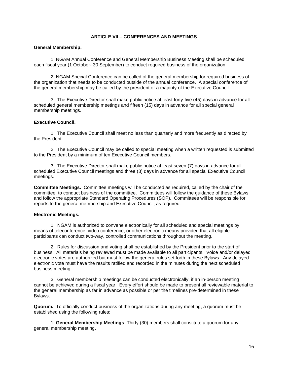#### **ARTICLE VII – CONFERENCES AND MEETINGS**

#### <span id="page-15-1"></span><span id="page-15-0"></span>**General Membership.**

1. NGAM Annual Conference and General Membership Business Meeting shall be scheduled each fiscal year (1 October- 30 September) to conduct required business of the organization.

2. NGAM Special Conference can be called of the general membership for required business of the organization that needs to be conducted outside of the annual conference. A special conference of the general membership may be called by the president or a majority of the Executive Council.

3. The Executive Director shall make public notice at least forty-five (45) days in advance for all scheduled general membership meetings and fifteen (15) days in advance for all special general membership meetings.

#### **Executive Council.**

1. The Executive Council shall meet no less than quarterly and more frequently as directed by the President.

2. The Executive Council may be called to special meeting when a written requested is submitted to the President by a minimum of ten Executive Council members.

3. The Executive Director shall make public notice at least seven (7) days in advance for all scheduled Executive Council meetings and three (3) days in advance for all special Executive Council meetings.

**Committee Meetings.** Committee meetings will be conducted as required, called by the chair of the committee, to conduct business of the committee. Committees will follow the guidance of these Bylaws and follow the appropriate Standard Operating Procedures (SOP). Committees will be responsible for reports to the general membership and Executive Council, as required.

#### **Electronic Meetings.**

1.NGAM is authorized to convene electronically for all scheduled and special meetings by means of teleconference, video conference, or other electronic means provided that all eligible participants can conduct two-way, controlled communications throughout the meeting.

2. Rules for discussion and voting shall be established by the President prior to the start of business. All materials being reviewed must be made available to all participants. Voice and/or delayed electronic votes are authorized but must follow the general rules set forth in these Bylaws. Any delayed electronic vote must have the results ratified and recorded in the minutes during the next scheduled business meeting.

3. General membership meetings can be conducted electronically, if an in-person meeting cannot be achieved during a fiscal year. Every effort should be made to present all reviewable material to the general membership as far in advance as possible or per the timelines pre-determined in these Bylaws.

**Quorum.** To officially conduct business of the organizations during any meeting, a quorum must be established using the following rules:

1. **General Membership Meetings**. Thirty (30) members shall constitute a quorum for any general membership meeting.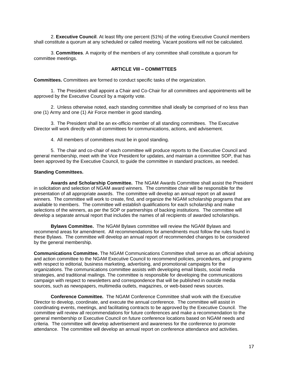<span id="page-16-1"></span>2. **Executive Council**. At least fifty one percent (51%) of the voting Executive Council members shall constitute a quorum at any scheduled or called meeting. Vacant positions will not be calculated.

3. **Committees**. A majority of the members of any committee shall constitute a quorum for committee meetings.

#### **ARTICLE VIII – COMMITTEES**

<span id="page-16-0"></span>**Committees.** Committees are formed to conduct specific tasks of the organization.

1. The President shall appoint a Chair and Co-Chair for all committees and appointments will be approved by the Executive Council by a majority vote.

2. Unless otherwise noted, each standing committee shall ideally be comprised of no less than one (1) Army and one (1) Air Force member in good standing.

3. The President shall be an ex-officio member of all standing committees. The Executive Director will work directly with all committees for communications, actions, and advisement.

4. All members of committees must be in good standing.

5. The chair and co-chair of each committee will produce reports to the Executive Council and general membership, meet with the Vice President for updates, and maintain a committee SOP, that has been approved by the Executive Council, to guide the committee in standard practices, as needed.

#### **Standing Committees.**

**Awards and Scholarship Committee.** The NGAM Awards Committee shall assist the President in solicitation and selection of NGAM award winners. The committee chair will be responsible for the presentation of all appropriate awards. The committee will develop an annual report on all award winners. The committee will work to create, find, and organize the NGAM scholarship programs that are available to members. The committee will establish qualifications for each scholarship and make selections of the winners, as per the SOP or partnerships of backing institutions. The committee will develop a separate annual report that includes the names of all recipients of awarded scholarships.

**Bylaws Committee.** The NGAM Bylaws committee will review the NGAM Bylaws and recommend areas for amendment. All recommendations for amendments must follow the rules found in these Bylaws. The committee will develop an annual report of recommended changes to be considered by the general membership.

**Communications Committee.** The NGAM Communications Committee shall serve as an official advising and action committee to the NGAM Executive Council to recommend policies, procedures, and programs with respect to editorial, business marketing, advertising, and promotional campaigns for the organizations. The communications committee assists with developing email blasts, social media strategies, and traditional mailings. The committee is responsible for developing the communications campaign with respect to newsletters and correspondence that will be published in outside media sources, such as newspapers, multimedia outlets, magazines, or web-based news sources.

**Conference Committee.** The NGAM Conference Committee shall work with the Executive Director to develop, coordinate, and execute the annual conference. The committee will assist in coordinating events, meetings, and facilitating contracts to be approved by the Executive Council. The committee will review all recommendations for future conferences and make a recommendation to the general membership or Executive Council on future conference locations based on NGAM needs and criteria. The committee will develop advertisement and awareness for the conference to promote attendance. The committee will develop an annual report on conference attendance and activities.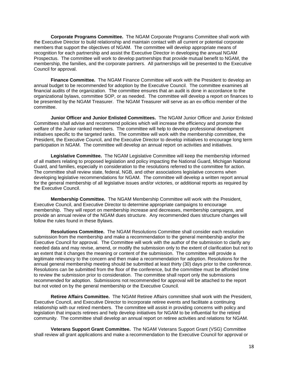**Corporate Programs Committee.** The NGAM Corporate Programs Committee shall work with the Executive Director to build relationship and maintain contact with all current or potential corporate members that support the objectives of NGAM. The committee will develop appropriate means of recognition for each partnership and assist the Executive Director in developing the annual NGAM Prospectus. The committee will work to develop partnerships that provide mutual benefit to NGAM, the membership, the families, and the corporate partners. All partnerships will be presented to the Executive Council for approval.

**Finance Committee.** The NGAM Finance Committee will work with the President to develop an annual budget to be recommended for adoption by the Executive Council. The committee examines all financial audits of the organization. The committee ensures that an audit is done in accordance to the organizational bylaws, committee SOP, or as needed. The committee will develop a report on finances to be presented by the NGAM Treasurer. The NGAM Treasurer will serve as an ex-officio member of the committee.

**Junior Officer and Junior Enlisted Committees.** The NGAM Junior Officer and Junior Enlisted Committees shall advise and recommend policies which will increase the efficiency and promote the welfare of the Junior ranked members. The committee will help to develop professional development initiatives specific to the targeted ranks. The committee will work with the membership committee, the President, the Executive Council, and the Executive Director to develop initiatives to encourage long term participation in NGAM. The committee will develop an annual report on activities and initiatives.

**Legislative Committee.** The NGAM Legislative Committee will keep the membership informed of all matters relating to proposed legislation and policy impacting the National Guard, Michigan National Guard, and families, especially in consideration to the resolutions referred to the committee for action. The committee shall review state, federal, NGB, and other associations legislative concerns when developing legislative recommendations for NGAM. The committee will develop a written report annual for the general membership of all legislative issues and/or victories, or additional reports as required by the Executive Council.

**Membership Committee.** The NGAM Membership Committee will work with the President, Executive Council, and Executive Director to determine appropriate campaigns to encourage membership. They will report on membership increase and decreases, membership campaigns, and provide an annual review of the NGAM dues structure. Any recommended dues structure changes will follow the rules found in these Bylaws.

**Resolutions Committee.** The NGAM Resolutions Committee shall consider each resolution submission from the membership and make a recommendation to the general membership and/or the Executive Council for approval. The Committee will work with the author of the submission to clarify any needed data and may revise, amend, or modify the submission only to the extent of clarification but not to an extent that it changes the meaning or content of the submission. The committee will provide a legitimate relevancy to the concern and then make a recommendation for adoption. Resolutions for the annual general membership meeting should be submitted at least thirty (30) days prior to the conference. Resolutions can be submitted from the floor of the conference, but the committee must be afforded time to review the submission prior to consideration. The committee shall report only the submissions recommended for adoption. Submissions not recommended for approval will be attached to the report but not voted on by the general membership or the Executive Council.

**Retiree Affairs Committee.** The NGAM Retiree Affairs committee shall work with the President, Executive Council, and Executive Director to incorporate retiree events and facilitate a continuing relationship with our retired members. The committee will assist in providing concerns with policy and legislation that impacts retirees and help develop initiatives for NGAM to be influential for the retired community. The committee shall develop an annual report on retiree activities and relations for NGAM.

**Veterans Support Grant Committee.** The NGAM Veterans Support Grant (VSG) Committee shall review all grant applications and make a recommendation to the Executive Council for approval or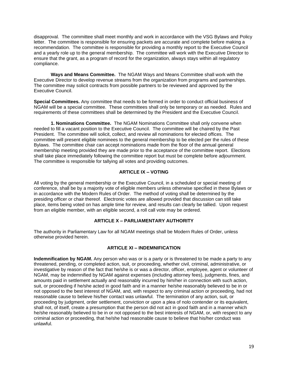<span id="page-18-3"></span>disapproval. The committee shall meet monthly and work in accordance with the VSG Bylaws and Policy letter. The committee is responsible for ensuring packets are accurate and complete before making a recommendation. The committee is responsible for providing a monthly report to the Executive Council and a yearly role up to the general membership. The committee will work with the Executive Director to ensure that the grant, as a program of record for the organization, always stays within all regulatory compliance.

**Ways and Means Committee.** The NGAM Ways and Means Committee shall work with the Executive Director to develop revenue streams from the organization from programs and partnerships. The committee may solicit contracts from possible partners to be reviewed and approved by the Executive Council.

**Special Committees.** Any committee that needs to be formed in order to conduct official business of NGAM will be a special committee. These committees shall only be temporary or as needed. Rules and requirements of these committees shall be determined by the President and the Executive Council.

**1. Nominations Committee.** The NGAM Nominations Committee shall only convene when needed to fill a vacant position to the Executive Council. The committee will be chaired by the Past President. The committee will solicit, collect, and review all nominations for elected offices. The committee will present eligible nominees to the general membership to be elected per the rules of these Bylaws. The committee chair can accept nominations made from the floor of the annual general membership meeting provided they are made prior to the acceptance of the committee report. Elections shall take place immediately following the committee report but must be complete before adjournment. The committee is responsible for tallying all votes and providing outcomes.

#### **ARTICLE IX – VOTING**

<span id="page-18-0"></span>All voting by the general membership or the Executive Council, in a scheduled or special meeting of conference, shall be by a majority vote of eligible members unless otherwise specified in these Bylaws or in accordance with the Modern Rules of Order. The method of voting shall be determined by the presiding officer or chair thereof. Electronic votes are allowed provided that discussion can still take place, items being voted on has ample time for review, and results can clearly be tallied. Upon request from an eligible member, with an eligible second, a roll call vote may be ordered.

#### **ARTICLE X – PARLIAMENTARY AUTHORITY**

<span id="page-18-1"></span>The authority in Parliamentary Law for all NGAM meetings shall be Modern Rules of Order, unless otherwise provided herein.

#### **ARTICLE XI – INDEMNIFICATION**

<span id="page-18-2"></span>**Indemnification by NGAM.** Any person who was or is a party or is threatened to be made a party to any threatened, pending, or completed action, suit, or proceeding, whether civil, criminal, administrative, or investigative by reason of the fact that he/she is or was a director, officer, employee, agent or volunteer of NGAM, may be indemnified by NGAM against expenses (including attorney fees), judgments, fines, and amounts paid in settlement actually and reasonably incurred by him/her in connection with such action, suit, or proceeding if he/she acted in good faith and in a manner he/she reasonably believed to be in or not opposed to the best interest of NGAM, and, with respect to any criminal action or proceeding, had not reasonable cause to believe his/her contact was unlawful. The termination of any action, suit, or proceeding by judgment, order settlement, conviction or upon a plea of nolo contender or its equivalent, shall not, of itself, create a presumption that the person did not act in good faith and in a manner which he/she reasonably believed to be in or not opposed to the best interests of NGAM, or, with respect to any criminal action or proceeding, that he/she had reasonable cause to believe that his/her conduct was unlawful.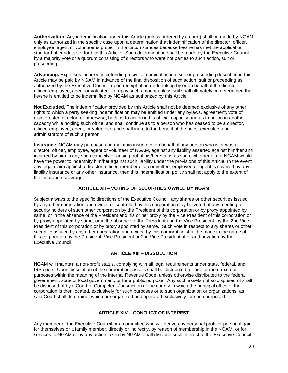<span id="page-19-3"></span>**Authorization**. Any indemnification under this Article (unless ordered by a court) shall be made by NGAM only as authorized in the specific case upon a determination that indemnification of the director, officer, employee, agent or volunteer is proper in the circumstances because he/she has met the applicable standard of conduct set forth in this Article. Such determination shall be made by the Executive Council by a majority vote or a quorum consisting of directors who were not parties to such action, suit or proceeding.

**Advancing.** Expenses incurred in defending a civil or criminal action, suit or proceeding described in this Article may be paid by NGAM in advance of the final disposition of such action, suit or proceeding as authorized by the Executive Council, upon receipt of an undertaking by or on behalf of the director, officer, employee, agent or volunteer to repay such amount unless suit shall ultimately be determined that he/she is entitled to be indemnified by NGAM as authorized by this Article.

**Not Excluded.** The indemnification provided by this Article shall not be deemed exclusive of any other rights to which a party seeking indemnification may be entitled under any bylaws, agreement, vote of disinterested director, or otherwise, both as to action in his official capacity and as to action in another capacity while holding such office, and shall continue as to a person who has ceased to be a director, officer, employee, agent, or volunteer, and shall inure to the benefit of the heirs, executors and administrators of such a person.

**Insurance.** NGAM may purchase and maintain insurance on behalf of any person who is or was a director, officer, employee, agent or volunteer of NGAM, against any liability asserted against him/her and incurred by him in any such capacity or arising out of his/her status as such, whether or not NGAM would have the power to indemnify him/her against such liability under the provisions of this Article. In the event any legal claim against a director, officer, member of a committee, employee or agent is covered by any liability insurance or any other insurance, then this indemnification policy shall not apply to the extent of the insurance coverage.

#### **ARTICLE XII – VOTING OF SECURITIES OWNED BY NGAM**

<span id="page-19-0"></span>Subject always to the specific directions of the Executive Council, any shares or other securities issued by any other corporation and owned or controlled by this corporation may be voted at any meeting of security holders of such other corporation by the President of this corporation or by proxy appointed by same, or in the absence of the President and his or her proxy by the Vice President of this corporation or by proxy appointed by same, or in the absence of the President and the Vice President, by the 2nd Vice President of this corporation or by proxy appointed by same. Such vote in respect to any shares or other securities issued by any other corporation and owned by this corporation shall be made in the name of this corporation by the President, Vice President or 2nd Vice President after authorization by the Executive Council.

#### **ARTICLE XIII – DISSOLUTION**

<span id="page-19-1"></span>NGAM will maintain a non-profit status, complying with all legal requirements under state, federal, and IRS code. Upon dissolution of the corporation, assets shall be distributed for one or more exempt purposes within the meaning of the Internal Revenue Code, unless otherwise distributed to the federal government, state or local government, or for a public purpose. Any such assets not so disposed of shall be disposed of by a Court of Competent Jurisdiction of the county in which the principal office of the corporation is then located, exclusively for such purposes or to such organization or organizations, as said Court shall determine, which are organized and operated exclusively for such purposed.

#### **ARTICLE XIV – CONFLICT OF INTEREST**

<span id="page-19-2"></span>Any member of the Executive Council or a committee who will derive any personal profit or personal gain for themselves or a family member, directly or indirectly, by reason of membership in the NGAM, or for services to NGAM or by any action taken by NGAM shall disclose such interest to the Executive Council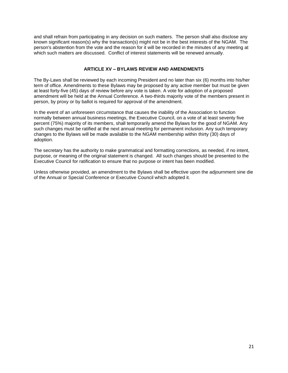<span id="page-20-1"></span>and shall refrain from participating in any decision on such matters. The person shall also disclose any known significant reason(s) why the transaction(s) might not be in the best interests of the NGAM. The person's abstention from the vote and the reason for it will be recorded in the minutes of any meeting at which such matters are discussed. Conflict of interest statements will be renewed annually.

#### **ARTICLE XV – BYLAWS REVIEW AND AMENDMENTS**

<span id="page-20-0"></span>The By-Laws shall be reviewed by each incoming President and no later than six (6) months into his/her term of office. Amendments to these Bylaws may be proposed by any active member but must be given at least forty-five (45) days of review before any vote is taken. A vote for adoption of a proposed amendment will be held at the Annual Conference. A two-thirds majority vote of the members present in person, by proxy or by ballot is required for approval of the amendment.

In the event of an unforeseen circumstance that causes the inability of the Association to function normally between annual business meetings, the Executive Council, on a vote of at least seventy five percent (75%) majority of its members, shall temporarily amend the Bylaws for the good of NGAM. Any such changes must be ratified at the next annual meeting for permanent inclusion. Any such temporary changes to the Bylaws will be made available to the NGAM membership within thirty (30) days of adoption.

The secretary has the authority to make grammatical and formatting corrections, as needed, if no intent, purpose, or meaning of the original statement is changed. All such changes should be presented to the Executive Council for ratification to ensure that no purpose or intent has been modified.

Unless otherwise provided, an amendment to the Bylaws shall be effective upon the adjournment sine die of the Annual or Special Conference or Executive Council which adopted it.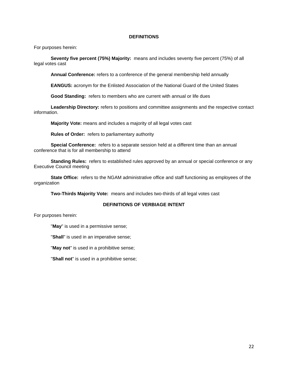#### **DEFINITIONS**

<span id="page-21-1"></span><span id="page-21-0"></span>For purposes herein:

**Seventy five percent (75%) Majority:** means and includes seventy five percent (75%) of all legal votes cast

**Annual Conference:** refers to a conference of the general membership held annually

**EANGUS:** acronym for the Enlisted Association of the National Guard of the United States

**Good Standing:** refers to members who are current with annual or life dues

**Leadership Directory:** refers to positions and committee assignments and the respective contact information.

**Majority Vote:** means and includes a majority of all legal votes cast

**Rules of Order:** refers to parliamentary authority

**Special Conference:** refers to a separate session held at a different time than an annual conference that is for all membership to attend

**Standing Rules:** refers to established rules approved by an annual or special conference or any Executive Council meeting

**State Office:** refers to the NGAM administrative office and staff functioning as employees of the organization

**Two-Thirds Majority Vote:** means and includes two-thirds of all legal votes cast

#### **DEFINITIONS OF VERBIAGE INTENT**

For purposes herein:

"**May**" is used in a permissive sense;

"**Shall**" is used in an imperative sense;

"**May not**" is used in a prohibitive sense;

"**Shall not**" is used in a prohibitive sense;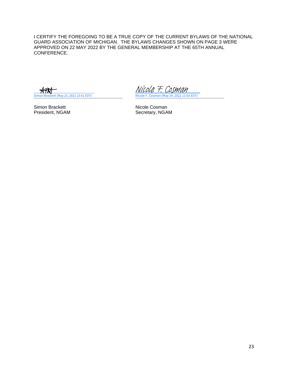<span id="page-22-1"></span><span id="page-22-0"></span>I CERTIFY THE FOREGOING TO BE A TRUE COPY OF THE CURRENT BYLAWS OF THE NATIONAL GUARD ASSOCIATION OF MICHIGAN. THE BYLAWS CHANGES SHOWN ON PAGE 3 WERE APPROVED ON 22 MAY 2022 BY THE GENERAL MEMBERSHIP AT THE 65TH ANNUAL CONFERENCE.

Simon Brackett<br>
President, NGAM<br>
President, NGAM<br>
Nicole Cosman<br>
Secretary, NGA

**Simon Brackett (May 23, 2022 23:01 EDT)** Nicole F. Cosman (May 24, 2022 11:03 EDT) [Nicole F. Cosman](https://na2.documents.adobe.com/verifier?tx=CBJCHBCAABAA9-RZBMFKyVzsRgkNaVWQh-7NQILxd72i)

Secretary, NGAM